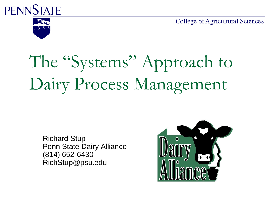**PENNSTATE** 

**College of Agricultural Sciences** 



# The "Systems" Approach to Dairy Process Management

Richard Stup Penn State Dairy Alliance (814) 652-6430 RichStup@psu.edu

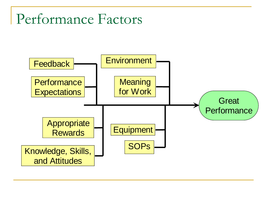#### Performance Factors

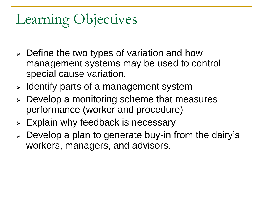# Learning Objectives

- $\triangleright$  Define the two types of variation and how management systems may be used to control special cause variation.
- $\triangleright$  Identify parts of a management system
- $\triangleright$  Develop a monitoring scheme that measures performance (worker and procedure)
- $\triangleright$  Explain why feedback is necessary
- $\triangleright$  Develop a plan to generate buy-in from the dairy's workers, managers, and advisors.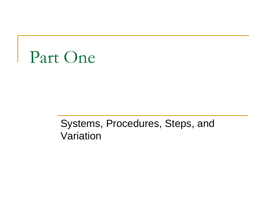

#### Systems, Procedures, Steps, and Variation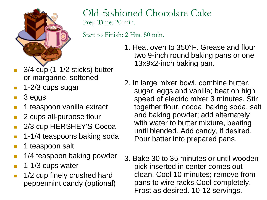

#### Old-fashioned Chocolate Cake Prep Time: 20 min.

Start to Finish: 2 Hrs. 50 min.

- 3/4 cup (1-1/2 sticks) butter or margarine, softened
- 1-2/3 cups sugar
- 3 eggs
- 1 teaspoon vanilla extract
- 2 cups all-purpose flour
- 2/3 cup HERSHEY'S Cocoa
- 1-1/4 teaspoons baking soda
- 1 teaspoon salt
- 1/4 teaspoon baking powder
- 1-1/3 cups water
- 1/2 cup finely crushed hard peppermint candy (optional)
- 1. Heat oven to 350°F. Grease and flour two 9-inch round baking pans or one 13x9x2-inch baking pan.
- 2. In large mixer bowl, combine butter, sugar, eggs and vanilla; beat on high speed of electric mixer 3 minutes. Stir together flour, cocoa, baking soda, salt and baking powder; add alternately with water to butter mixture, beating until blended. Add candy, if desired. Pour batter into prepared pans.
- 3. Bake 30 to 35 minutes or until wooden pick inserted in center comes out clean. Cool 10 minutes; remove from pans to wire racks.Cool completely. Frost as desired. 10-12 servings.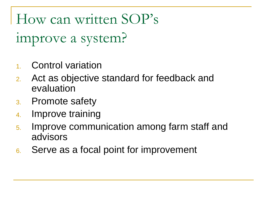How can written SOP's improve a system?

- 1. Control variation
- 2. Act as objective standard for feedback and evaluation
- 3. Promote safety
- 4. Improve training
- 5. Improve communication among farm staff and advisors
- 6. Serve as a focal point for improvement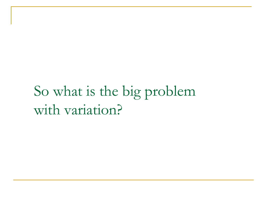### So what is the big problem with variation?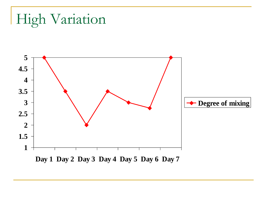```
High Variation
```
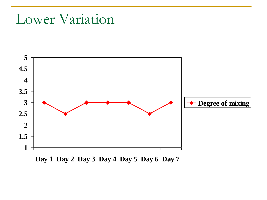#### Lower Variation

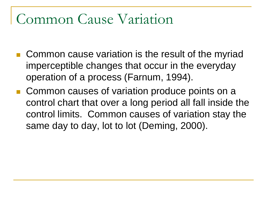#### Common Cause Variation

- Common cause variation is the result of the myriad imperceptible changes that occur in the everyday operation of a process (Farnum, 1994).
- Common causes of variation produce points on a control chart that over a long period all fall inside the control limits. Common causes of variation stay the same day to day, lot to lot (Deming, 2000).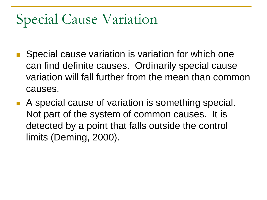#### Special Cause Variation

- Special cause variation is variation for which one can find definite causes. Ordinarily special cause variation will fall further from the mean than common causes.
- A special cause of variation is something special. Not part of the system of common causes. It is detected by a point that falls outside the control limits (Deming, 2000).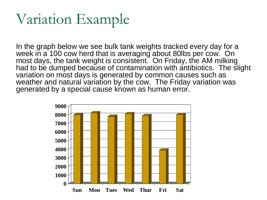#### Variation Example

In the graph below we see bulk tank weights tracked every day for a week in a 100 cow herd that is averaging about 80lbs per cow. On most days, the tank weight is consistent. On Friday, the AM milking had to be dumped because of contamination with antibiotics. The slight variation on most days is generated by common causes such as weather and natural variation by the cow. The Friday variation was generated by a special cause known as human error.

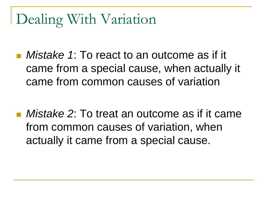#### Dealing With Variation

- *Mistake 1*: To react to an outcome as if it came from a special cause, when actually it came from common causes of variation
- *Mistake 2*: To treat an outcome as if it came from common causes of variation, when actually it came from a special cause.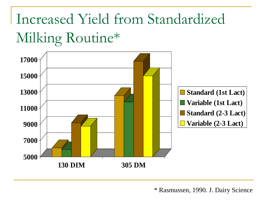# Increased Yield from Standardized Milking Routine\*



\* Rasmussen, 1990. J. Dairy Science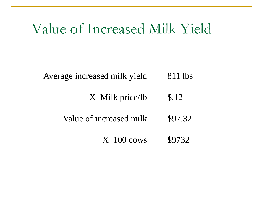#### Value of Increased Milk Yield

| Average increased milk yield | 811 lbs |  |  |  |
|------------------------------|---------|--|--|--|
| X Milk price/lb              | \$.12   |  |  |  |
| Value of increased milk      | \$97.32 |  |  |  |
| $X$ 100 cows                 | \$9732  |  |  |  |
|                              |         |  |  |  |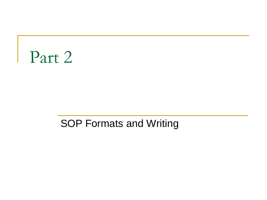# Part 2

#### SOP Formats and Writing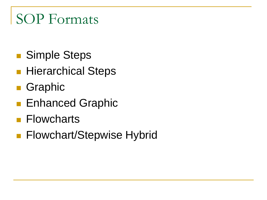#### SOP Formats

- Simple Steps
- **Hierarchical Steps**
- **Graphic**
- **Enhanced Graphic**
- **Flowcharts**
- **Flowchart/Stepwise Hybrid**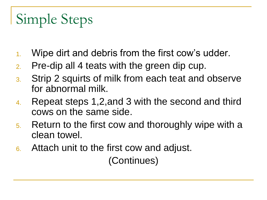# Simple Steps

- 1. Wipe dirt and debris from the first cow's udder.
- 2. Pre-dip all 4 teats with the green dip cup.
- 3. Strip 2 squirts of milk from each teat and observe for abnormal milk.
- 4. Repeat steps 1,2,and 3 with the second and third cows on the same side.
- 5. Return to the first cow and thoroughly wipe with a clean towel.
- 6. Attach unit to the first cow and adjust.

(Continues)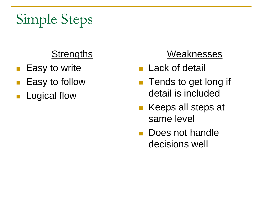# Simple Steps

#### **Strengths**

- **Easy to write**
- Easy to follow
- Logical flow

#### Weaknesses

- **Lack of detail**
- **Tends to get long if** detail is included
- Keeps all steps at same level
- **Does not handle** decisions well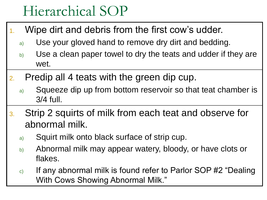#### Hierarchical SOP

- Wipe dirt and debris from the first cow's udder.
	- a) Use your gloved hand to remove dry dirt and bedding.
	- b) Use a clean paper towel to dry the teats and udder if they are wet.
- 2. Predip all 4 teats with the green dip cup.
	- a) Squeeze dip up from bottom reservoir so that teat chamber is 3/4 full.
- 3. Strip 2 squirts of milk from each teat and observe for abnormal milk.
	- a) Squirt milk onto black surface of strip cup.
	- b) Abnormal milk may appear watery, bloody, or have clots or flakes.
	- $\epsilon$ ) If any abnormal milk is found refer to Parlor SOP #2 "Dealing With Cows Showing Abnormal Milk."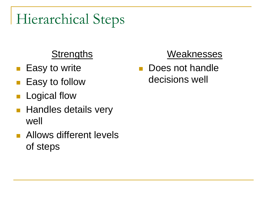#### Hierarchical Steps

#### **Strengths**

- **Easy to write**
- Easy to follow
- Logical flow
- **Handles details very** well
- **Allows different levels** of steps

#### Weaknesses

**Does not handle** decisions well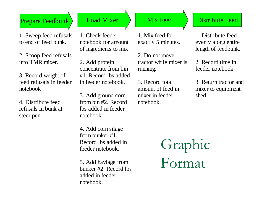#### Prepare Feedbunk | Load Mixer  $\longrightarrow$  Mix Feed  $\longrightarrow$  Distribute Feed

1. Sweep feed refusals to end of feed bunk.

2. Scoop feed refusals into TMR mixer.

3. Record weight of feed refusals in feeder notebook

4. Distribute feed refusals in bunk at steer pen.

1. Check feeder notebook for amount of ingredients to mix

2. Add protein concentrate from bin #1. Record lbs added in feeder notebook.

3. Add ground corn from bin #2. Record lbs added in feeder notebook.

4. Add corn silage from bunker #1. Record lbs added in feeder notebook.

5. Add haylage from bunker #2. Record lbs added in feeder notebook.

1. Mix feed for exactly 5 minutes.

2. Do not move tractor while mixer is running.

3. Record total amount of feed in mixer in feeder notebook.

1. Distribute feed evenly along entire length of feedbunk.

2. Record time in feeder notebook

3. Return tractor and mixer to equipment shed.

Graphic Format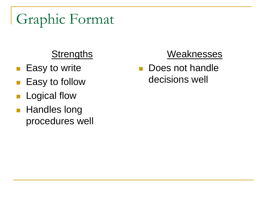# Graphic Format

#### **Strengths**

- **Easy to write**
- **Easy to follow**
- Logical flow
- **Handles long** procedures well

#### Weaknesses

**Does not handle** decisions well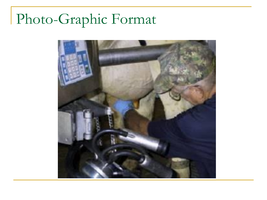# Photo-Graphic Format

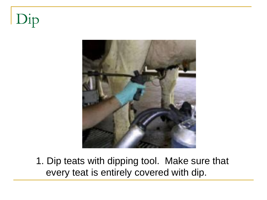# Dip



1. Dip teats with dipping tool. Make sure that every teat is entirely covered with dip.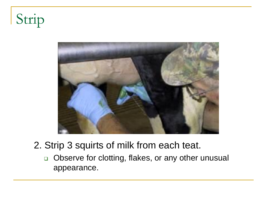Strip



#### 2. Strip 3 squirts of milk from each teat.

□ Observe for clotting, flakes, or any other unusual appearance.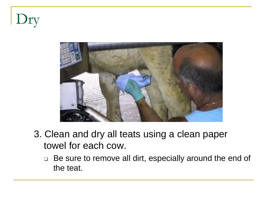Dry



- 3. Clean and dry all teats using a clean paper towel for each cow.
	- □ Be sure to remove all dirt, especially around the end of the teat.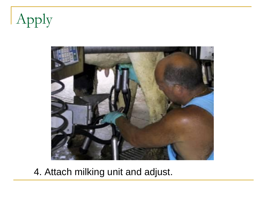Apply



4. Attach milking unit and adjust.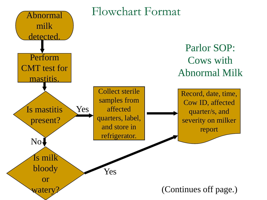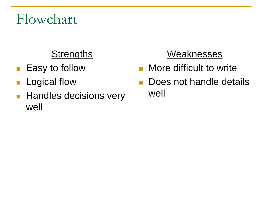#### Flowchart

#### **Strengths**

- **Easy to follow**
- **Logical flow**
- **Handles decisions very** well

#### **Weaknesses**

- **Nore difficult to write**
- **Does not handle details** well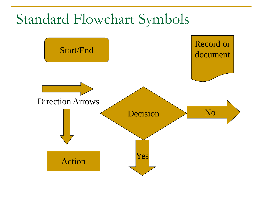#### Standard Flowchart Symbols

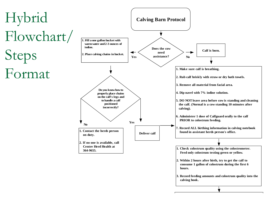

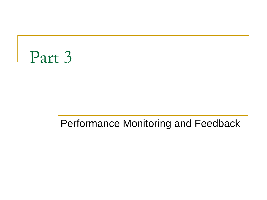# Part 3

#### Performance Monitoring and Feedback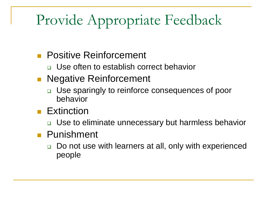# Provide Appropriate Feedback

#### **Positive Reinforcement**

- □ Use often to establish correct behavior
- **Negative Reinforcement** 
	- □ Use sparingly to reinforce consequences of poor behavior
- **Extinction** 
	- □ Use to eliminate unnecessary but harmless behavior
- **Punishment** 
	- □ Do not use with learners at all, only with experienced people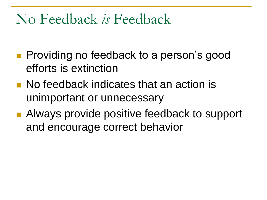#### No Feedback *is* Feedback

- **Providing no feedback to a person's good** efforts is extinction
- **No feedback indicates that an action is** unimportant or unnecessary
- Always provide positive feedback to support and encourage correct behavior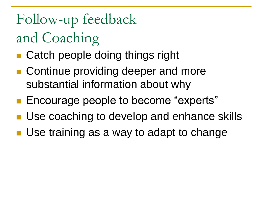Follow-up feedback and Coaching

- Catch people doing things right
- Continue providing deeper and more substantial information about why
- **Encourage people to become "experts"**
- **Use coaching to develop and enhance skills**
- **Use training as a way to adapt to change**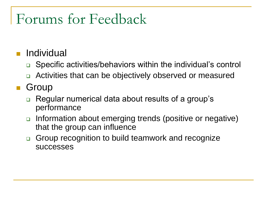#### Forums for Feedback

- Individual
	- □ Specific activities/behaviors within the individual's control
	- Activities that can be objectively observed or measured
- Group
	- □ Regular numerical data about results of a group's performance
	- □ Information about emerging trends (positive or negative) that the group can influence
	- Group recognition to build teamwork and recognize successes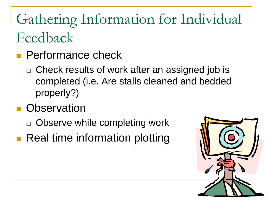# Gathering Information for Individual Feedback

- **Performance check** 
	- □ Check results of work after an assigned job is completed (i.e. Are stalls cleaned and bedded properly?)
- **D** Observation
	- □ Observe while completing work
- **Real time information plotting**

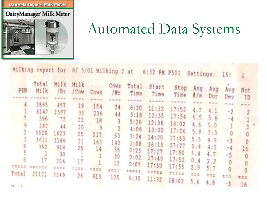Dairy Manager<sup>®</sup> Milk Meter

#### DairyManager Milk Meter



#### Automated Data Systems

|                                    |                                                                                              |                                                                                             |                                                                               |                                                                                                |                                                                                                             |                                                                                        | Milking report for 8/ 5/01 Milking 2 at 6:32 PM P501                                                                |                                                                                                               | Settings: 15:                                                                |                                                                                          |                                                                               |                                     |  |
|------------------------------------|----------------------------------------------------------------------------------------------|---------------------------------------------------------------------------------------------|-------------------------------------------------------------------------------|------------------------------------------------------------------------------------------------|-------------------------------------------------------------------------------------------------------------|----------------------------------------------------------------------------------------|---------------------------------------------------------------------------------------------------------------------|---------------------------------------------------------------------------------------------------------------|------------------------------------------------------------------------------|------------------------------------------------------------------------------------------|-------------------------------------------------------------------------------|-------------------------------------|--|
| 25%<br>4.<br><b>SERIE</b><br>Total | Total<br>Milk:<br>2895<br>8147<br>396<br>182<br>5520<br>3611<br>352<br>17<br>223333<br>21121 | Milk:<br>/8t<br>457<br>1537<br>72<br>44<br>1623<br>3186<br>918<br>30<br>204<br>2356<br>3249 | Milk<br>$/$ Cow<br>19<br>35<br>22<br>20<br>25<br>22<br>25<br>17<br>1542<br>26 | Cows<br><b>REGION</b><br>154<br>236<br>18<br>9<br>217<br>163<br>14 <sup>°</sup><br>2252<br>813 | Cows<br>/Hr<br>$x = \pm 1$<br>24<br>44<br>$\mathfrak{g}$<br>2<br>63<br>143<br>36<br>30<br>12<br><b>SOME</b> | Total<br>6:20<br>5:18<br>5:26<br>4:06<br>3:24<br>1:08<br>0:23<br>0:02<br>0:05<br>生命変換工 | Start<br>Time Time<br>11:32<br>12:35<br>12:36<br>13:00<br>14:28<br>16:18<br>17:27<br>17:49<br>17:50<br><b>DERES</b> | Stop<br>$T1m\theta$<br>17:52<br>17:54<br>18:02<br>17:06<br>17:53<br>17:27<br>17:50<br>17:52<br>17:55<br>11772 | Avg<br>4.7<br>6.5<br>4.65.0<br>5.8<br>5.5<br>5.4<br>5,4<br>0.4<br>2.9<br>325 | Avg<br>#/m Dur<br>$= 1.4$<br>4.1<br>5.6<br>3.5<br>4.9<br>4.2<br>4.7<br>2.2<br>5.7<br>275 | Avg<br>Dev<br>$-0.07$<br>$-2$<br>$-4$<br>$\circ$<br>$-3$<br>$-4$<br>-5<br>308 | Not<br>1D<br>$m = 10$<br>$-2$<br>10 |  |
| The planet of the Con-             |                                                                                              |                                                                                             |                                                                               |                                                                                                | 125                                                                                                         | 6:30                                                                                   | 11:32                                                                                                               | 18:02                                                                                                         | 5.6                                                                          | 4.8                                                                                      | $-3$                                                                          | #ne<br>16                           |  |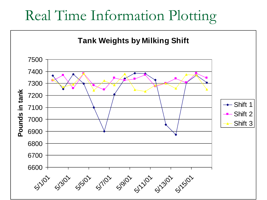#### Real Time Information Plotting

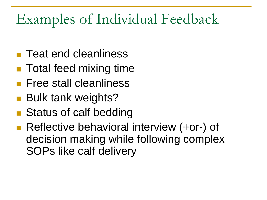### Examples of Individual Feedback

- **Teat end cleanliness**
- Total feed mixing time
- **Free stall cleanliness**
- Bulk tank weights?
- Status of calf bedding
- Reflective behavioral interview (+or-) of decision making while following complex SOPs like calf delivery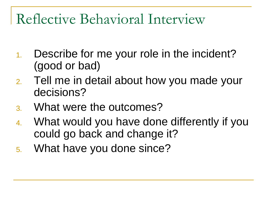#### Reflective Behavioral Interview

- 1. Describe for me your role in the incident? (good or bad)
- 2. Tell me in detail about how you made your decisions?
- 3. What were the outcomes?
- 4. What would you have done differently if you could go back and change it?
- 5. What have you done since?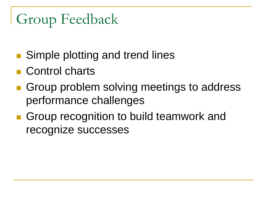# Group Feedback

- Simple plotting and trend lines
- **Control charts**
- Group problem solving meetings to address performance challenges
- Group recognition to build teamwork and recognize successes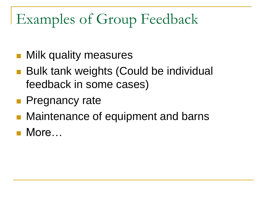## Examples of Group Feedback

- **Milk quality measures**
- Bulk tank weights (Could be individual feedback in some cases)
- **Pregnancy rate**
- Maintenance of equipment and barns
- More…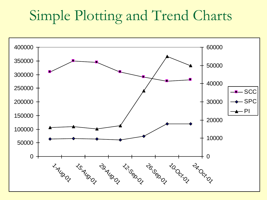#### Simple Plotting and Trend Charts

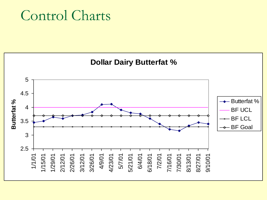#### Control Charts

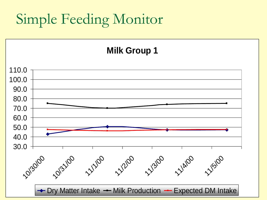## Simple Feeding Monitor

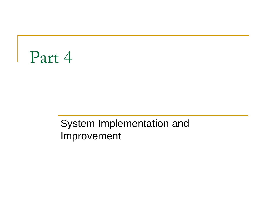# Part 4

#### System Implementation and Improvement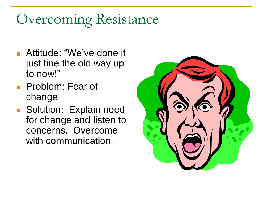### Overcoming Resistance

- **Attitude: "We've done it** just fine the old way up to now!"
- **Problem: Fear of** change
- Solution: Explain need for change and listen to concerns. Overcome with communication.

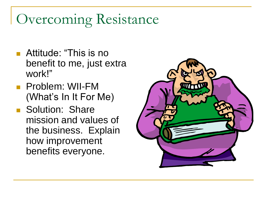#### Overcoming Resistance

- **Attitude: "This is no** benefit to me, just extra work!"
- **Problem: WII-FM** (What's In It For Me)
- **Solution: Share** mission and values of the business. Explain how improvement benefits everyone.

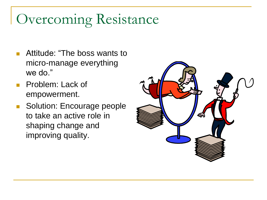#### Overcoming Resistance

- Attitude: "The boss wants to micro-manage everything we do."
- **Problem: Lack of** empowerment.
- Solution: Encourage people to take an active role in shaping change and improving quality.

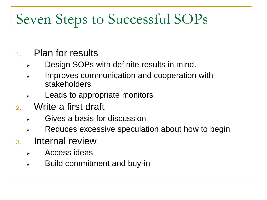# Seven Steps to Successful SOPs

#### 1. Plan for results

- $\triangleright$  Design SOPs with definite results in mind.
- **EXED:** Improves communication and cooperation with stakeholders
- $\triangleright$  Leads to appropriate monitors
- 2. Write a first draft
	- $\triangleright$  Gives a basis for discussion
	- $\triangleright$  Reduces excessive speculation about how to begin
- 3. Internal review
	- $\triangleright$  Access ideas
	- $\triangleright$  Build commitment and buy-in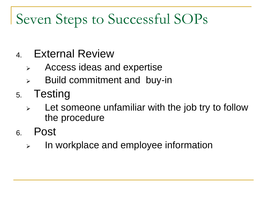# Seven Steps to Successful SOPs

- 4. External Review
	- Access ideas and expertise
	- $\triangleright$  Build commitment and buy-in
- 5. Testing
	- $\triangleright$  Let someone unfamiliar with the job try to follow the procedure
- 6. Post
	- $\triangleright$  In workplace and employee information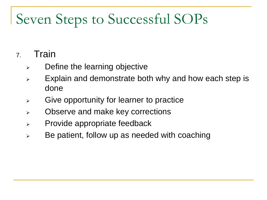## Seven Steps to Successful SOPs

#### 7. Train

- $\triangleright$  Define the learning objective
- $\triangleright$  Explain and demonstrate both why and how each step is done
- $\triangleright$  Give opportunity for learner to practice
- Observe and make key corrections
- $\triangleright$  Provide appropriate feedback
- $\triangleright$  Be patient, follow up as needed with coaching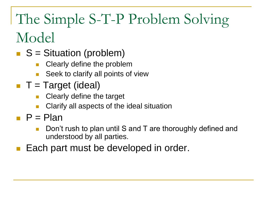# The Simple S-T-P Problem Solving Model

- $S =$  Situation (problem)
	- Clearly define the problem
	- Seek to clarify all points of view
- $\blacksquare$  T = Target (ideal)
	- Clearly define the target
	- Clarify all aspects of the ideal situation
- $\blacksquare$  P = Plan
	- Don't rush to plan until S and T are thoroughly defined and understood by all parties.
- Each part must be developed in order.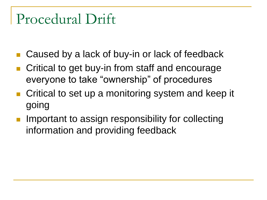#### Procedural Drift

- Caused by a lack of buy-in or lack of feedback
- Critical to get buy-in from staff and encourage everyone to take "ownership" of procedures
- Critical to set up a monitoring system and keep it going
- Important to assign responsibility for collecting information and providing feedback